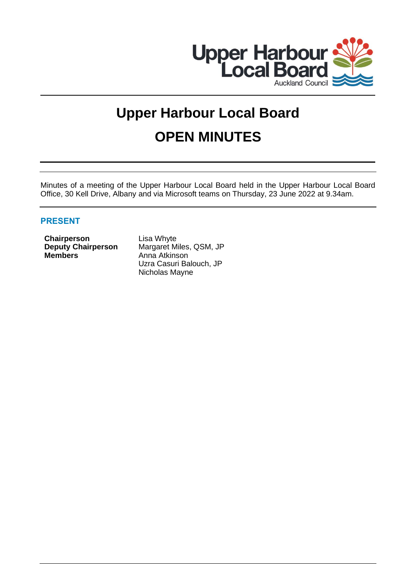

# **Upper Harbour Local Board OPEN MINUTES**

Minutes of a meeting of the Upper Harbour Local Board held in the Upper Harbour Local Board Office, 30 Kell Drive, Albany and via Microsoft teams on Thursday, 23 June 2022 at 9.34am.

# **PRESENT**

**Chairperson** Lisa Whyte **Members** Anna Atkinson

**Deputy Chairperson** Margaret Miles, QSM, JP Uzra Casuri Balouch, JP Nicholas Mayne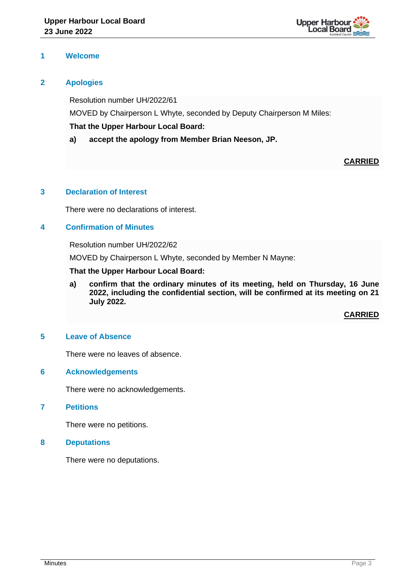

# **1 Welcome**

# **2 Apologies**

Resolution number UH/2022/61 MOVED by Chairperson L Whyte, seconded by Deputy Chairperson M Miles: **That the Upper Harbour Local Board:**

**a) accept the apology from Member Brian Neeson, JP.**

# **CARRIED**

# **3 Declaration of Interest**

There were no declarations of interest.

# **4 Confirmation of Minutes**

Resolution number UH/2022/62

MOVED by Chairperson L Whyte, seconded by Member N Mayne:

# **That the Upper Harbour Local Board:**

**a) confirm that the ordinary minutes of its meeting, held on Thursday, 16 June 2022, including the confidential section, will be confirmed at its meeting on 21 July 2022.**

**CARRIED**

# **5 Leave of Absence**

There were no leaves of absence.

# **6 Acknowledgements**

There were no acknowledgements.

**7 Petitions**

There were no petitions.

**8 Deputations**

There were no deputations.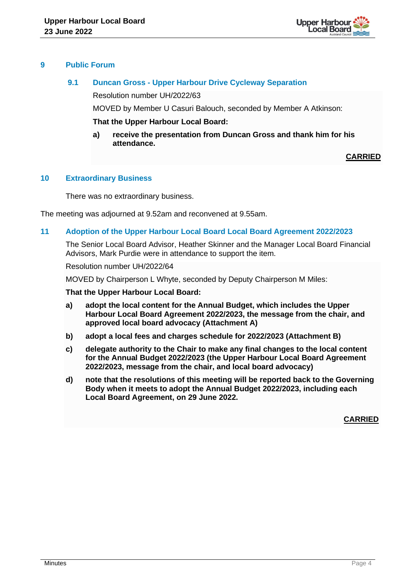

# **9 Public Forum**

# **9.1 Duncan Gross - Upper Harbour Drive Cycleway Separation**

Resolution number UH/2022/63

MOVED by Member U Casuri Balouch, seconded by Member A Atkinson:

**That the Upper Harbour Local Board:**

**a) receive the presentation from Duncan Gross and thank him for his attendance.**

# **CARRIED**

# **10 Extraordinary Business**

There was no extraordinary business.

The meeting was adjourned at 9.52am and reconvened at 9.55am.

# **11 Adoption of the Upper Harbour Local Board Local Board Agreement 2022/2023**

The Senior Local Board Advisor, Heather Skinner and the Manager Local Board Financial Advisors, Mark Purdie were in attendance to support the item.

Resolution number UH/2022/64

MOVED by Chairperson L Whyte, seconded by Deputy Chairperson M Miles:

## **That the Upper Harbour Local Board:**

- **a) adopt the local content for the Annual Budget, which includes the Upper Harbour Local Board Agreement 2022/2023, the message from the chair, and approved local board advocacy (Attachment A)**
- **b) adopt a local fees and charges schedule for 2022/2023 (Attachment B)**
- **c) delegate authority to the Chair to make any final changes to the local content for the Annual Budget 2022/2023 (the Upper Harbour Local Board Agreement 2022/2023, message from the chair, and local board advocacy)**
- **d) note that the resolutions of this meeting will be reported back to the Governing Body when it meets to adopt the Annual Budget 2022/2023, including each Local Board Agreement, on 29 June 2022.**

**CARRIED**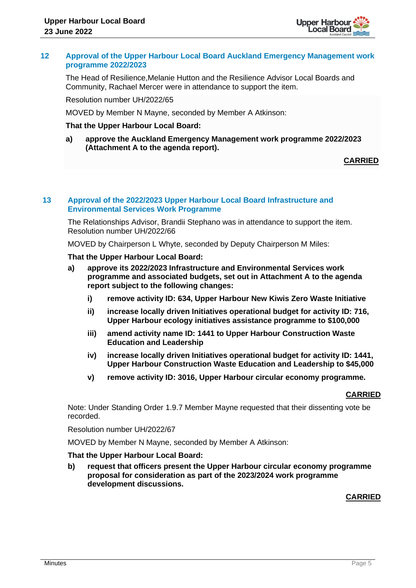

## **12 Approval of the Upper Harbour Local Board Auckland Emergency Management work programme 2022/2023**

The Head of Resilience,Melanie Hutton and the Resilience Advisor Local Boards and Community, Rachael Mercer were in attendance to support the item.

Resolution number UH/2022/65

MOVED by Member N Mayne, seconded by Member A Atkinson:

## **That the Upper Harbour Local Board:**

**a) approve the Auckland Emergency Management work programme 2022/2023 (Attachment A to the agenda report).**

## **CARRIED**

## **13 Approval of the 2022/2023 Upper Harbour Local Board Infrastructure and Environmental Services Work Programme**

The Relationships Advisor, Brandii Stephano was in attendance to support the item. Resolution number UH/2022/66

MOVED by Chairperson L Whyte, seconded by Deputy Chairperson M Miles:

**That the Upper Harbour Local Board:**

- **a) approve its 2022/2023 Infrastructure and Environmental Services work programme and associated budgets, set out in Attachment A to the agenda report subject to the following changes:**
	- **i) remove activity ID: 634, Upper Harbour New Kiwis Zero Waste Initiative**
	- **ii) increase locally driven Initiatives operational budget for activity ID: 716, Upper Harbour ecology initiatives assistance programme to \$100,000**
	- **iii) amend activity name ID: 1441 to Upper Harbour Construction Waste Education and Leadership**
	- **iv) increase locally driven Initiatives operational budget for activity ID: 1441, Upper Harbour Construction Waste Education and Leadership to \$45,000**
	- **v) remove activity ID: 3016, Upper Harbour circular economy programme.**

#### **CARRIED**

Note: Under Standing Order 1.9.7 Member Mayne requested that their dissenting vote be recorded.

Resolution number UH/2022/67

MOVED by Member N Mayne, seconded by Member A Atkinson:

## **That the Upper Harbour Local Board:**

**b) request that officers present the Upper Harbour circular economy programme proposal for consideration as part of the 2023/2024 work programme development discussions.**

# **CARRIED**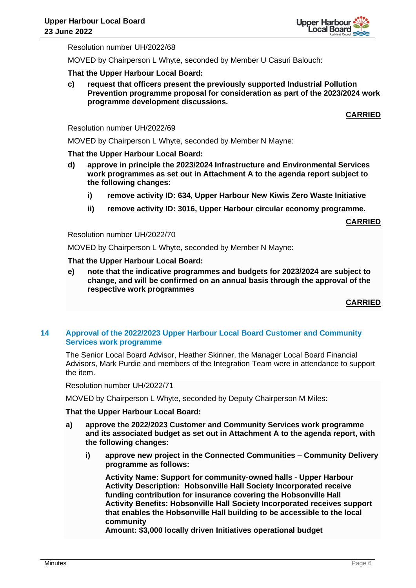

Resolution number UH/2022/68

MOVED by Chairperson L Whyte, seconded by Member U Casuri Balouch:

## **That the Upper Harbour Local Board:**

**c) request that officers present the previously supported Industrial Pollution Prevention programme proposal for consideration as part of the 2023/2024 work programme development discussions.**

# **CARRIED**

## Resolution number UH/2022/69

MOVED by Chairperson L Whyte, seconded by Member N Mayne:

## **That the Upper Harbour Local Board:**

- **d) approve in principle the 2023/2024 Infrastructure and Environmental Services work programmes as set out in Attachment A to the agenda report subject to the following changes:**
	- **i) remove activity ID: 634, Upper Harbour New Kiwis Zero Waste Initiative**
	- **ii) remove activity ID: 3016, Upper Harbour circular economy programme.**

**CARRIED**

#### Resolution number UH/2022/70

MOVED by Chairperson L Whyte, seconded by Member N Mayne:

## **That the Upper Harbour Local Board:**

**e) note that the indicative programmes and budgets for 2023/2024 are subject to change, and will be confirmed on an annual basis through the approval of the respective work programmes**

# **CARRIED**

## **14 Approval of the 2022/2023 Upper Harbour Local Board Customer and Community Services work programme**

The Senior Local Board Advisor, Heather Skinner, the Manager Local Board Financial Advisors, Mark Purdie and members of the Integration Team were in attendance to support the item.

Resolution number UH/2022/71

MOVED by Chairperson L Whyte, seconded by Deputy Chairperson M Miles:

## **That the Upper Harbour Local Board:**

- **a) approve the 2022/2023 Customer and Community Services work programme and its associated budget as set out in Attachment A to the agenda report, with the following changes:**
	- **i) approve new project in the Connected Communities – Community Delivery programme as follows:**

**Activity Name: Support for community-owned halls - Upper Harbour Activity Description: Hobsonville Hall Society Incorporated receive funding contribution for insurance covering the Hobsonville Hall Activity Benefits: Hobsonville Hall Society Incorporated receives support that enables the Hobsonville Hall building to be accessible to the local community**

**Amount: \$3,000 locally driven Initiatives operational budget**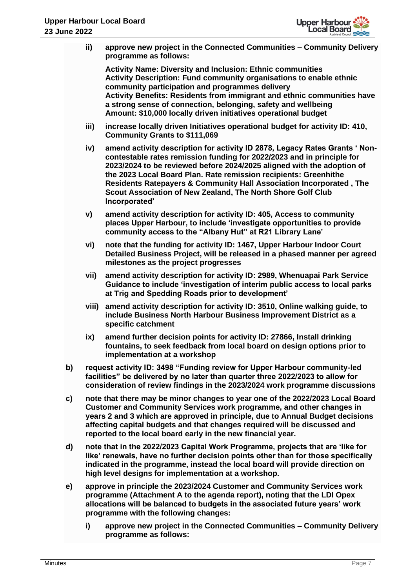

- **ii) approve new project in the Connected Communities – Community Delivery programme as follows: Activity Name: Diversity and Inclusion: Ethnic communities Activity Description: Fund community organisations to enable ethnic community participation and programmes delivery Activity Benefits: Residents from immigrant and ethnic communities have a strong sense of connection, belonging, safety and wellbeing Amount: \$10,000 locally driven initiatives operational budget iii) increase locally driven Initiatives operational budget for activity ID: 410, Community Grants to \$111,069 iv) amend activity description for activity ID 2878, Legacy Rates Grants ' Noncontestable rates remission funding for 2022/2023 and in principle for 2023/2024 to be reviewed before 2024/2025 aligned with the adoption of the 2023 Local Board Plan. Rate remission recipients: Greenhithe Residents Ratepayers & Community Hall Association Incorporated , The Scout Association of New Zealand, The North Shore Golf Club Incorporated' v) amend activity description for activity ID: 405, Access to community places Upper Harbour, to include 'investigate opportunities to provide community access to the "Albany Hut" at R21 Library Lane' vi) note that the funding for activity ID: 1467, Upper Harbour Indoor Court Detailed Business Project, will be released in a phased manner per agreed milestones as the project progresses vii) amend activity description for activity ID: 2989, Whenuapai Park Service Guidance to include 'investigation of interim public access to local parks at Trig and Spedding Roads prior to development' viii) amend activity description for activity ID: 3510, Online walking guide, to include Business North Harbour Business Improvement District as a specific catchment ix) amend further decision points for activity ID: 27866, Install drinking fountains, to seek feedback from local board on design options prior to implementation at a workshop b) request activity ID: 3498 "Funding review for Upper Harbour community-led facilities" be delivered by no later than quarter three 2022/2023 to allow for consideration of review findings in the 2023/2024 work programme discussions c) note that there may be minor changes to year one of the 2022/2023 Local Board Customer and Community Services work programme, and other changes in years 2 and 3 which are approved in principle, due to Annual Budget decisions affecting capital budgets and that changes required will be discussed and reported to the local board early in the new financial year. d) note that in the 2022/2023 Capital Work Programme, projects that are 'like for like' renewals, have no further decision points other than for those specifically indicated in the programme, instead the local board will provide direction on high level designs for implementation at a workshop. e) approve in principle the 2023/2024 Customer and Community Services work programme (Attachment A to the agenda report), noting that the LDI Opex allocations will be balanced to budgets in the associated future years' work programme with the following changes:**
	- **i) approve new project in the Connected Communities – Community Delivery programme as follows:**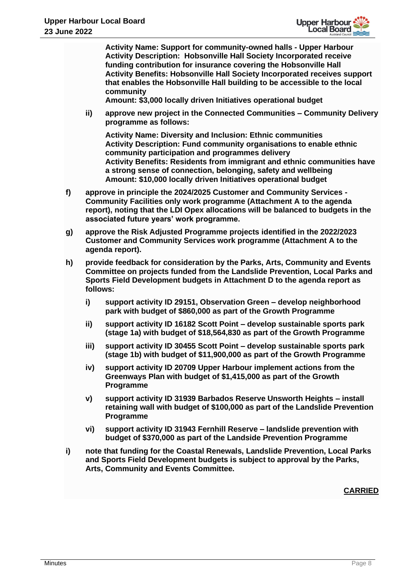

**Activity Name: Support for community-owned halls - Upper Harbour Activity Description: Hobsonville Hall Society Incorporated receive funding contribution for insurance covering the Hobsonville Hall Activity Benefits: Hobsonville Hall Society Incorporated receives support that enables the Hobsonville Hall building to be accessible to the local community**

**Amount: \$3,000 locally driven Initiatives operational budget**

**ii) approve new project in the Connected Communities – Community Delivery programme as follows:** 

**Activity Name: Diversity and Inclusion: Ethnic communities Activity Description: Fund community organisations to enable ethnic community participation and programmes delivery Activity Benefits: Residents from immigrant and ethnic communities have a strong sense of connection, belonging, safety and wellbeing Amount: \$10,000 locally driven Initiatives operational budget**

- **f) approve in principle the 2024/2025 Customer and Community Services - Community Facilities only work programme (Attachment A to the agenda report), noting that the LDI Opex allocations will be balanced to budgets in the associated future years' work programme.**
- **g) approve the Risk Adjusted Programme projects identified in the 2022/2023 Customer and Community Services work programme (Attachment A to the agenda report).**
- **h) provide feedback for consideration by the Parks, Arts, Community and Events Committee on projects funded from the Landslide Prevention, Local Parks and Sports Field Development budgets in Attachment D to the agenda report as follows:**
	- **i) support activity ID 29151, Observation Green – develop neighborhood park with budget of \$860,000 as part of the Growth Programme**
	- **ii) support activity ID 16182 Scott Point – develop sustainable sports park (stage 1a) with budget of \$18,564,830 as part of the Growth Programme**
	- **iii) support activity ID 30455 Scott Point – develop sustainable sports park (stage 1b) with budget of \$11,900,000 as part of the Growth Programme**
	- **iv) support activity ID 20709 Upper Harbour implement actions from the Greenways Plan with budget of \$1,415,000 as part of the Growth Programme**
	- **v) support activity ID 31939 Barbados Reserve Unsworth Heights – install retaining wall with budget of \$100,000 as part of the Landslide Prevention Programme**
	- **vi) support activity ID 31943 Fernhill Reserve – landslide prevention with budget of \$370,000 as part of the Landside Prevention Programme**
- **i) note that funding for the Coastal Renewals, Landslide Prevention, Local Parks and Sports Field Development budgets is subject to approval by the Parks, Arts, Community and Events Committee.**

**CARRIED**